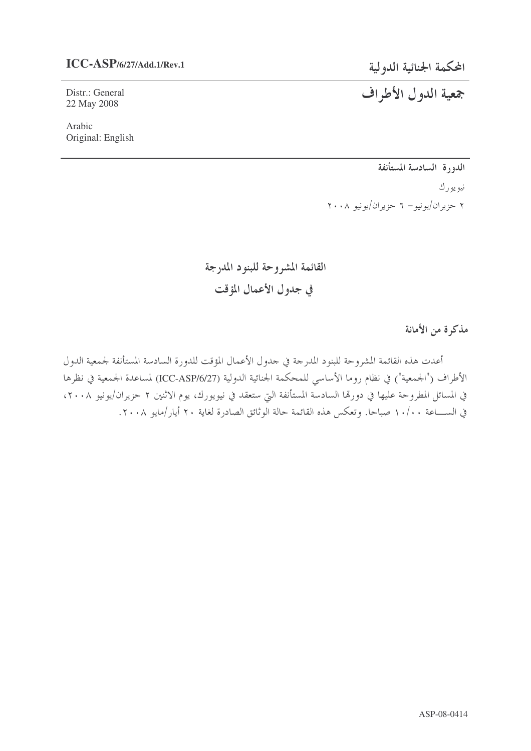## **ICC-ASP/6/27/Add.1/Rev.1**

Distr.: General 22 May 2008

Arabic Original: English المحكمة الجنائية الدولية

# جمعية الدول الأطراف

الدورة السادسة المستأنفة نيويورك ۲ حزیران/یونیو– ٦ حزیران/یونیو ۲۰۰۸

القائمة المشروحة للبنود المدرجة في جدول الأعمال المؤقت

مذكرة من الأمانة

أعدت هذه القائمة المشروحة للبنود المدرجة في حدول الأعمال المؤقت للدورة السادسة المستأنفة لجمعية الدول الأطراف ("الجمعية") في نظام روما الأساسي للمحكمة الجنائية الدولية (ICC-ASP/6/27) لمساعدة الجمعية في نظرها في المسائل المطروحة عليها في دورمها السادسة المستأنفة التي ستعقد في نيويورك، يوم الاثنين ٢ حزيران/يونيو ٢٠٠٨، في الســــاعة ١٠/٠٠ صباحا. وتعكس هذه القائمة حالة الوثائق الصادرة لغاية ٢٠ أيار/مايو ٢٠٠٨.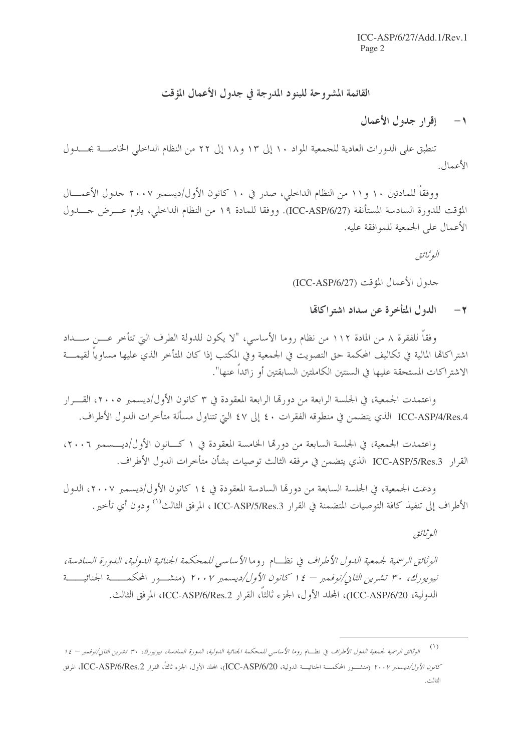## القائمة المشروحة للبنود المدرجة في جدول الأعمال المؤقت

#### إقرار جدول الأعمال  $-1$

تنطبق على الدورات العادية للجمعية المواد ١٠ إلى ١٣ و١٨ إلى ٢٢ من النظام الداخلي الخاصـــة بجــــدول الأعمال.

ووفقاً للمادتين ١٠ و١١ من النظام الداخلي، صدر في ١٠ كانون الأول/ديسمبر ٢٠٠٧ جدول الأعمـــال المؤقت للدورة السادسة المستأنفة (ICC-ASP/6/27). ووفقا للمادة ١٩ من النظام الداخلي، يلزم عـــرض جـــدول الأعمال على الجمعية للموافقة عليه.

البوثيائيق

حدول الأعمال المؤقت (ICC-ASP/6/27)

الدول المتأخرة عن سداد اشتراكاتها  $-7$ 

وفقاً للفقرة ٨ من المادة ١١٢ من نظام روما الأساسي، "لا يكون للدولة الطرف التي تتأخر عـــن ســـداد اشتراكاتما المالية في تكاليف المحكمة حق التصويت في الجمعية وفي المكتب إذا كان المتأخر الذي عليها مساوياً لقيمـــة الاشتراكات المستحقة عليها في السنتين الكاملتين السابقتين أو زائداً عنها".

واعتمدت الجمعية، في الجلسة الرابعة من دورتما الرابعة المعقودة في ٣ كانون الأول/ديسمبر ٢٠٠٥، القـــرار ICC-ASP/4/Res.4 الذي يتضمن في منطوقه الفقرات ٤٠ إلى ٤٧ التي تتناول مسألة متأخرات الدول الأطراف.

واعتمدت الجمعية، في الجلسة السابعة من دورها الخامسة المعقودة في ١ كـــانون الأول/ديــــسمبر ٢٠٠٦، القرار ICC-ASP/5/Res.3 الذي يتضمن في مرفقه الثالث توصيات بشأن متأخرات الدول الأطراف.

ودعت الجمعية، في الجلسة السابعة من دورتما السادسة المعقودة في ١٤ كانون الأول/ديسمبر ٢٠٠٧، الدول الأطراف إلى تنفيذ كافة التوصيات المتضمنة في القرار ICC-ASP/5/Res.3 ، المرفق الثالث<sup>(١)</sup> ودون أي تأخير.

البوثيائق

الوثائق الرسمية لجيمعية الدول الأطراف في نظبام , وما الأساسي للمحكمة الجنائية الدولية، الدو رة السادسة، نيويورك، ٣٠ تشرين الثاني/نوفمبر – ١٤ كانون الأول/ديسمبر ٢٠٠٧ (منشـور المحكمــــة الجنائيـــــة الدولية، ICC-ASP/6/20)، المجلد الأول، الجزء ثالثاً، القرار ICC-ASP/6/Res.2، المرفق الثالث.

<sup>(</sup>١)<br>الو*ثائق الرسمية لجمعية الدول الأطراف* في نظــام *روما الأساسي للمحكمة الجنائية الدولية، الدورة السادسة، نيويورك، ٣٠ تشرين الثاني/نوفمبر – ١٤* كانو*ن الأول/ديسمبر ٢٠٠٢* (منشــور المحكمـــة الجنائيـــة الدولية، ICC-ASP/6/20)، المحلد الأول، الجزء أنالتاً، القرار ICC-ASP/6/Res.2، المرفق الطلاحي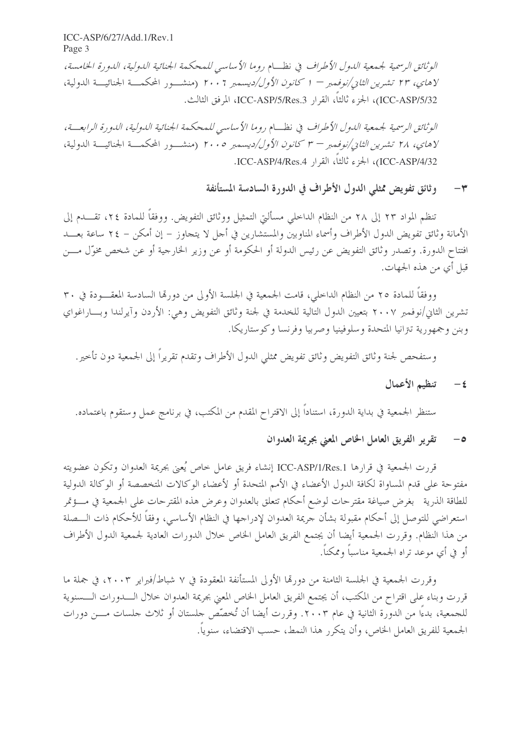ICC-ASP/6/27/Add.1/Rev.1 Page 3

الوثائق الرسمية لجيمعية اللهول الأطراف في نظبام روما الأساسي للمحكمة الجنائية اللهولية، اللهو رة الخامسة، لاهاي، ٢٣ تشيرين *الثاني/نوفمبر – ١ كانون الأول/ديس*مبر ٢٠٠٢ (منشــور المحكمــة الجنائيـــة الدولية، ICC-ASP/5/32)، الجزء ثالثاً، القرار ICC-ASP/5/Res.3، المرفق الثالث.

الوثائق الرسمية لجمععية الدول الأطراف في نظــام روما الأساسي للمحكمة الجنائية الدولية، الدورة الرابعــة، لاهاي، ٢٨ تشر*ين الثان/نوفمبر – ٣ كانون الأول/ديسمبر ٢٠٠٥* (منشـــور المحكمـــة الجنائيـــة الدولية، ICC-ASP/4/32)، الجزء ثالثاً، القرار ICC-ASP/4/Res.4.

#### وثائق تفويض ممثلي الدول الأطراف في الدورة السادسة المستأنفة  $\check{r}$

تنظم المواد ٢٣ إلى ٢٨ من النظام الداخلي مسألتي التمثيل ووثائق التفويض. ووفقاً للمادة ٢٤، تقـــدم إلى الأمانة وثائق تفويض الدول الأطراف وأسماء المناوبين والمستشارين في أحل لا يتجاوز – إن أمكن – ٢٤ ساعة بعـــد افتتاح الدورة. وتصدر وثائق التفويض عن رئيس الدولة أو الحكومة أو عن وزير الخارجية أو عن شخص مخوّل مـــن قبل أي من هذه الجهات.

ووفقاً للمادة ٢٥ من النظام الداخلي، قامت الجمعية في الجلسة الأولى من دورتما السادسة المعقـــودة في ٣٠ تشرين الثاني/نوفمبر ٢٠٠٧ بتعيين الدول التالية للخدمة في لجنة وثائق التفويض وهي: الأردن وآيرلندا وبـــاراغواي وبنن وجمهورية تتزانيا المتحدة وسلوفينيا وصربيا وفرنسا وكوستاريكا.

و ستفحص لجنة وثائق التفويض وثائق تفويض ممثلي الدول الأطراف وتقدم تقريراً إلى الجمعية دون تأخير .

تنظيم الأعمال  $-\epsilon$ 

ستنظر الجمعية في بداية الدورة، استناداً إلى الاقتراح المقدم من المكتب، في برنامج عمل وستقوم باعتماده.

### تقرير الفريق العامل الخاص المعنى بجريمة العدوان  $-\circ$

قررت الجمعية في قرارها ICC-ASP/1/Res.1 إنشاء فريق عامل خاص يُعني بجريمة العدوان وتكون عضويته مفتوحة على قدم المساواة لكافة الدول الأعضاء في الأمم المتحدة أو لأعضاء الوكالات المتخصصة أو الوكالة الدولية للطاقة الذرية \_بغرض صياغة مقترحات لوضع أحكام تتعلق بالعدوان وعرض هذه المقترحات على الجمعية في مـــؤتمر استعراضي للتوصل إلى أحكام مقبولة بشأن جريمة العدوان لإدراجها في النظام الأساسي، وفقاً للأحكام ذات الـــصلة من هذا النظام. وقررت الجمعية أيضا أن يجتمع الفريق العامل الخاص خلال الدورات العادية لجمعية الدول الأطراف أو في أي موعد تراه الجمعية مناسباً وممكناً.

وقررت الجمعية في الجلسة الثامنة من دورتما الأولى المستأنفة المعقودة في ٧ شباط/فبراير ٢٠٠٣، في جملة ما قررت وبناء على اقتراح من المكتب، أن يجتمع الفريق العامل الخاص المعنى بجريمة العدوان خلال الــــدورات الــــسنوية للجمعية، بدءًا من الدورة الثانية في عام ٢٠٠٣. وقررت أيضا أن تُخصِّص جلستان أو ثلاث جلسات مـــن دورات الجمعية للفريق العامل الخاص، وأن يتكرر هذا النمط، حسب الاقتضاء، سنوياً.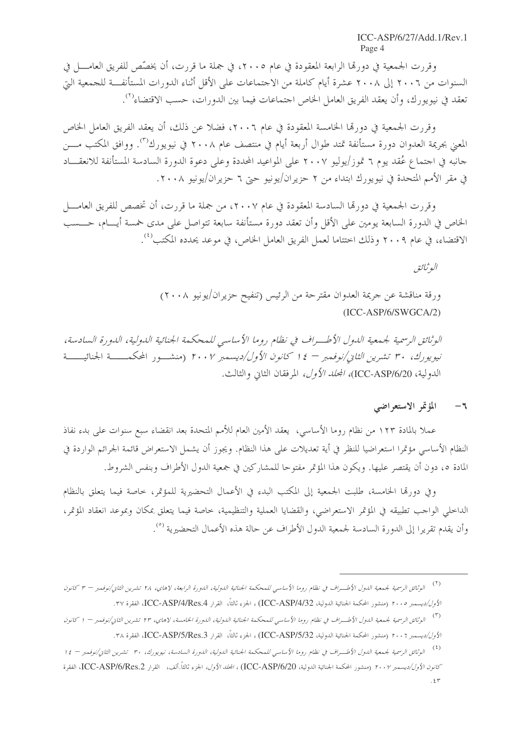وقررت الجمعية في دورتما الرابعة المعقودة في عام ٢٠٠٥، في جملة ما قررت، أن يخصِّص للفريق العامـــل في السنوات من ٢٠٠٦ إلى ٢٠٠٨ عشرة أيام كاملة من الاحتماعات على الأقل أثناء الدورات المستأنفة للجمعية التي تعقد في نيويورك، وأن يعقد الفريق العامل الخاص احتماعات فيما بين الدورات، حسب الاقتضاء<sup>(٢)</sup>.

وقررت الجمعية في دورها الخامسة المعقودة في عام ٢٠٠٦، فضلاً عن ذلك، أن يعقد الفريق العامل الخاص المعنى بجريمة العدوان دورة مستأنفة تمتد طوال أربعة أيام في منتصف عام ٢٠٠٨ في نيويورك"<sup>؟</sup>. ووافق المكتب مــــن جانبه في احتماع عُقد يوم ٦ تموز/يوليو ٢٠٠٧ على المواعيد المحددة وعلى دعوة الدورة السادسة المستأنفة للانعقـــاد في مقر الأمم المتحدة في نيويورك ابتداء من ٢ حزيران/يونيو حتى ٦ حزيران/يونيو ٢٠٠٨.

وقررت الجمعية في دورمَّا السادسة المعقودة في عام ٢٠٠٧، من جملة ما قررت، أن تخصص للفريق العامــــل الخاص في الدورة السابعة يومين على الأقل وأن تعقد دورة مستأنفة سابعة تتواصل على مدى حمسة أيـــام، حــــسب الاقتضاء، في عام ٢٠٠٩ وذلك اختتاما لعمل الفريق العامل الخاص، في موعد يحدده المكتب<sup>(٤)</sup>.

البوثائق

ورقة مناقشة عن جريمة العدوان مقترحة من الرئيس (تنفيح حزيران/يونيو ٢٠٠٨)  $(ICC-ASP/6/SWGCA/2)$ 

الوثائق الرسمية لجمعية الدول الأطــراف في نظام روما الأساسي للمحكمة الجنائية الدولية، الدورة السادسة، نيويورك، ٣٠ تشيرين الثاني/نوفعير = ١٤ كانون الأول/ديسعير ٢٠٠٧ (منشــور المحكمــــة الجنائيـــــة الدولية، ICC-ASP/6/20)، *المجلد الأول،* المرفقان الثاني والثالث.

#### المؤتمر الاستعراضي  $-7$

عملا بالمادة ١٢٣ من نظام روما الأساسي، يعقد الأمين العام للأمم المتحدة بعد انقضاء سبع سنوات على بدء نفاذ النظام الأساسي مؤتمرا استعراضيا للنظر في أية تعديلات على هذا النظام. ويجوز أن يشمل الاستعراض قائمة الجرائم الواردة في المادة ٥، دون أن يقتصر عليها. ويكون هذا المؤتمر مفتوحا للمشاركين في جمعية الدول الأطراف وبنفس الشروط.

وفي دورقما الخامسة، طلبت الجمعية إلى المكتب البدء في الأعمال التحضيرية للمؤتمر، خاصة فيما يتعلق بالنظام الداخلي الواحب تطبيقه في المؤتمر الاستعراضي، والقضايا العملية والتنظيمية، حاصة فيما يتعلق بمكان وبموعد انعقاد المؤتمر، وأن يقدم تقريرا إلى الدورة السادسة لجمعية الدول الأطراف عن حالة هذه الأعمال التحضيرية <sup>(٥</sup>).

<sup>(</sup>٢)<br>( ") الوثائق الرسمية لجمعية اللـول الأطـــراف في نظام روما الأساسي للمحكمة الجنائية اللـولية، اللـورة الرابعة، لاهاي، ٢٨ تشرين الثاني/نوفمبر – ٣ كانون الأول/ديسمبر ٢٠٠٥ (منشور المحكمة الجنائية الدولية، ICC-ASP/4/32) ، الجزء ثالثاً، القرار ICC-ASP/4/Res.4، الفقرة ٣٧.

الوثائق الرسمية لجمعية اللول الأطـــراف في نظام روما الأساسي للمحكمة الجنائية اللولية، اللورة الخامسة، لاهاي، ٢٣ تشرين الثاني/نوفمبر – ١ كانون  $(\tilde{\mathbf{r}})$ الأول/ديسمبر ٢٠٠٢ (منشور المحكمة الجنائية الدولية، ICC-ASP/5/32) ، الجزء ثالثاً، القرار ICC-ASP/5/Res.3، الفقرة ٣٨.

 $(\mathfrak{t})$ الوثائق الرسمية لجمعية الدول الأطـــراف في نظام روما الأساسي للمحكمة الجنائية الدولية، الدورة السادسة، نيويورك، ٣٠ تشرين الثاني/نوفمبر – ١٤ كانون الأول/ديسمبر ٢٠٠٧ (منشور المحكمة الجنائية الدولية، ICC-ASP/6/20) ، ا*لمجلد الأول،* الجزء ثالثاً.ألف، القرار ICC-ASP/6/Res.2، الفقرة  $.57$